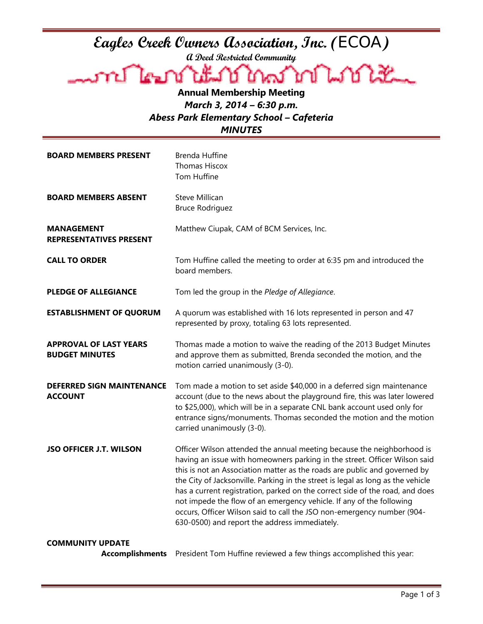## **Eagles Creek Owners Association, Inc. (**ECOA**)**

**A Deed Restricted Community** 

Lookt

**Annual Membership Meeting**  *March 3, 2014 – 6:30 p.m. Abess Park Elementary School – Cafeteria MINUTES* 

| <b>BOARD MEMBERS PRESENT</b>                           | <b>Brenda Huffine</b><br><b>Thomas Hiscox</b><br>Tom Huffine                                                                                                                                                                                                                                                                                                                                                                                                                                                                                                                                            |
|--------------------------------------------------------|---------------------------------------------------------------------------------------------------------------------------------------------------------------------------------------------------------------------------------------------------------------------------------------------------------------------------------------------------------------------------------------------------------------------------------------------------------------------------------------------------------------------------------------------------------------------------------------------------------|
| <b>BOARD MEMBERS ABSENT</b>                            | <b>Steve Millican</b><br><b>Bruce Rodriguez</b>                                                                                                                                                                                                                                                                                                                                                                                                                                                                                                                                                         |
| <b>MANAGEMENT</b><br><b>REPRESENTATIVES PRESENT</b>    | Matthew Ciupak, CAM of BCM Services, Inc.                                                                                                                                                                                                                                                                                                                                                                                                                                                                                                                                                               |
| <b>CALL TO ORDER</b>                                   | Tom Huffine called the meeting to order at 6:35 pm and introduced the<br>board members.                                                                                                                                                                                                                                                                                                                                                                                                                                                                                                                 |
| <b>PLEDGE OF ALLEGIANCE</b>                            | Tom led the group in the Pledge of Allegiance.                                                                                                                                                                                                                                                                                                                                                                                                                                                                                                                                                          |
| <b>ESTABLISHMENT OF QUORUM</b>                         | A quorum was established with 16 lots represented in person and 47<br>represented by proxy, totaling 63 lots represented.                                                                                                                                                                                                                                                                                                                                                                                                                                                                               |
| <b>APPROVAL OF LAST YEARS</b><br><b>BUDGET MINUTES</b> | Thomas made a motion to waive the reading of the 2013 Budget Minutes<br>and approve them as submitted, Brenda seconded the motion, and the<br>motion carried unanimously (3-0).                                                                                                                                                                                                                                                                                                                                                                                                                         |
| <b>DEFERRED SIGN MAINTENANCE</b><br><b>ACCOUNT</b>     | Tom made a motion to set aside \$40,000 in a deferred sign maintenance<br>account (due to the news about the playground fire, this was later lowered<br>to \$25,000), which will be in a separate CNL bank account used only for<br>entrance signs/monuments. Thomas seconded the motion and the motion<br>carried unanimously (3-0).                                                                                                                                                                                                                                                                   |
| <b>JSO OFFICER J.T. WILSON</b>                         | Officer Wilson attended the annual meeting because the neighborhood is<br>having an issue with homeowners parking in the street. Officer Wilson said<br>this is not an Association matter as the roads are public and governed by<br>the City of Jacksonville. Parking in the street is legal as long as the vehicle<br>has a current registration, parked on the correct side of the road, and does<br>not impede the flow of an emergency vehicle. If any of the following<br>occurs, Officer Wilson said to call the JSO non-emergency number (904-<br>630-0500) and report the address immediately. |
| <b>COMMUNITY UPDATE</b>                                |                                                                                                                                                                                                                                                                                                                                                                                                                                                                                                                                                                                                         |

**Accomplishments** President Tom Huffine reviewed a few things accomplished this year: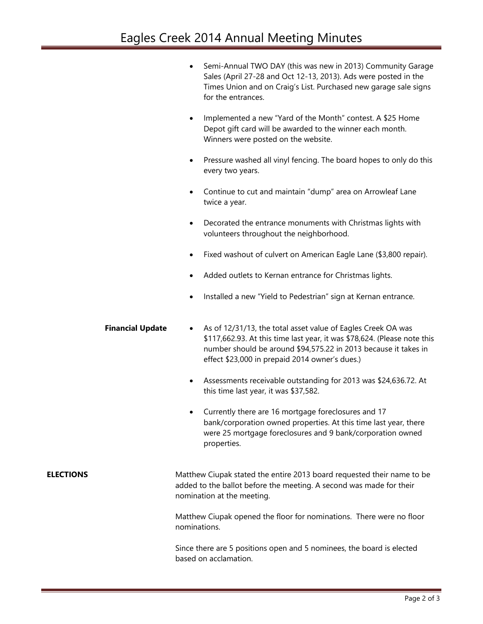|                  |                         | Semi-Annual TWO DAY (this was new in 2013) Community Garage<br>$\bullet$<br>Sales (April 27-28 and Oct 12-13, 2013). Ads were posted in the<br>Times Union and on Craig's List. Purchased new garage sale signs<br>for the entrances.                                      |
|------------------|-------------------------|----------------------------------------------------------------------------------------------------------------------------------------------------------------------------------------------------------------------------------------------------------------------------|
|                  |                         | Implemented a new "Yard of the Month" contest. A \$25 Home<br>$\bullet$<br>Depot gift card will be awarded to the winner each month.<br>Winners were posted on the website.                                                                                                |
|                  |                         | Pressure washed all vinyl fencing. The board hopes to only do this<br>$\bullet$<br>every two years.                                                                                                                                                                        |
|                  |                         | Continue to cut and maintain "dump" area on Arrowleaf Lane<br>٠<br>twice a year.                                                                                                                                                                                           |
|                  |                         | Decorated the entrance monuments with Christmas lights with<br>٠<br>volunteers throughout the neighborhood.                                                                                                                                                                |
|                  |                         | Fixed washout of culvert on American Eagle Lane (\$3,800 repair).                                                                                                                                                                                                          |
|                  |                         | Added outlets to Kernan entrance for Christmas lights.                                                                                                                                                                                                                     |
|                  |                         | Installed a new "Yield to Pedestrian" sign at Kernan entrance.                                                                                                                                                                                                             |
|                  | <b>Financial Update</b> | As of 12/31/13, the total asset value of Eagles Creek OA was<br>$\bullet$<br>\$117,662.93. At this time last year, it was \$78,624. (Please note this<br>number should be around \$94,575.22 in 2013 because it takes in<br>effect \$23,000 in prepaid 2014 owner's dues.) |
|                  |                         | Assessments receivable outstanding for 2013 was \$24,636.72. At<br>$\bullet$<br>this time last year, it was \$37,582.                                                                                                                                                      |
|                  |                         | Currently there are 16 mortgage foreclosures and 17<br>٠<br>bank/corporation owned properties. At this time last year, there<br>were 25 mortgage foreclosures and 9 bank/corporation owned<br>properties.                                                                  |
| <b>ELECTIONS</b> |                         | Matthew Ciupak stated the entire 2013 board requested their name to be<br>added to the ballot before the meeting. A second was made for their<br>nomination at the meeting.                                                                                                |
|                  |                         | Matthew Ciupak opened the floor for nominations. There were no floor<br>nominations.                                                                                                                                                                                       |
|                  |                         | Since there are 5 positions open and 5 nominees, the board is elected<br>based on acclamation.                                                                                                                                                                             |